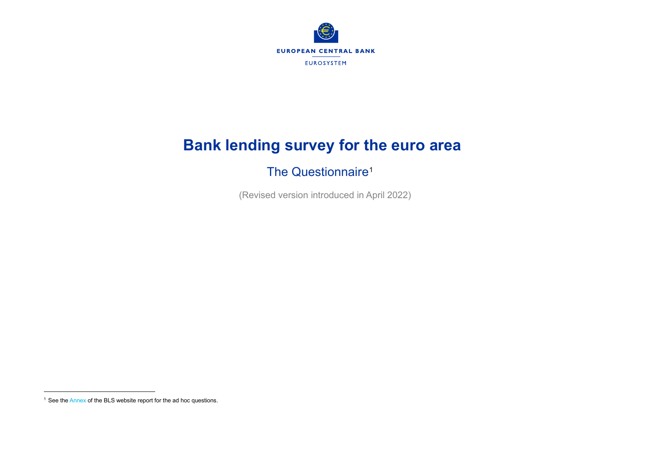<span id="page-0-0"></span>

# **Bank lending survey for the euro area**

## The Questionnaire<sup>[1](#page-0-0)</sup>

(Revised version introduced in April 2022)

<sup>&</sup>lt;sup>1</sup> See th[e Annex](http://www.ecb.europa.eu/stats/ecb_surveys/bank_lending_survey/html/index.en.html) of the BLS website report for the ad hoc questions.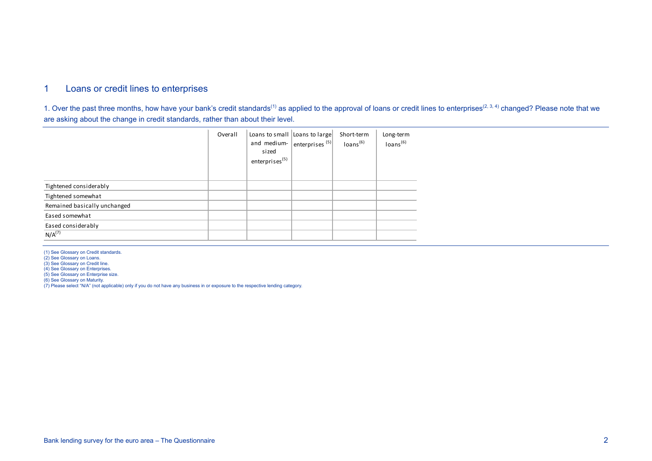## 1 Loans or credit lines to enterprises

1. Over the past three months, how have your bank's credit standards<sup>(1)</sup> as applied to the approval of loans or credit lines to enterprises<sup>(2, 3, 4)</sup> changed? Please note that we are asking about the change in credit standards, rather than about their level.

|                              | Overall | Loans to small Loans to large<br>and medium- enterprises $(5)$<br>sized<br>enterprises <sup>(5)</sup> | Short-term<br>Ioans <sup>(6)</sup> | Long-term<br>loans <sup>(6)</sup> |
|------------------------------|---------|-------------------------------------------------------------------------------------------------------|------------------------------------|-----------------------------------|
| Tightened considerably       |         |                                                                                                       |                                    |                                   |
| Tightened somewhat           |         |                                                                                                       |                                    |                                   |
| Remained basically unchanged |         |                                                                                                       |                                    |                                   |
| Eased somewhat               |         |                                                                                                       |                                    |                                   |
| Eased considerably           |         |                                                                                                       |                                    |                                   |
| N/A <sup>(7)</sup>           |         |                                                                                                       |                                    |                                   |

(1) See Glossary on Credit standards. (2) See Glossary on Loans.

(3) See Glossary on Credit line.

(4) See Glossary on Enterprises.

(5) See Glossary on Enterprise size.

(6) See Glossary on Maturity. (7) Please select "N/A" (not applicable) only if you do not have any business in or exposure to the respective lending category.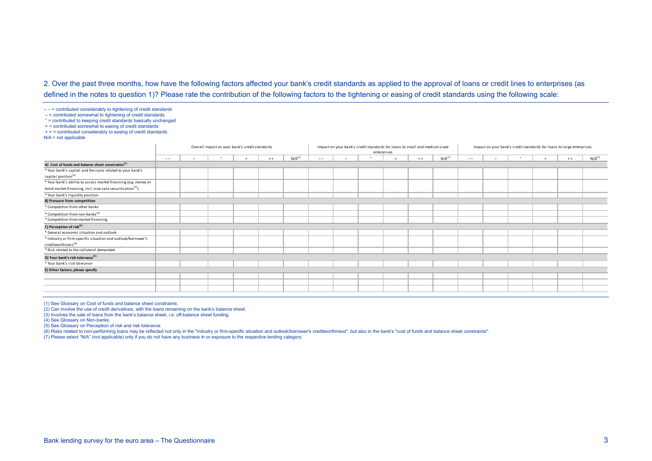### 2. Over the past three months, how have the following factors affected your bank's credit standards as applied to the approval of loans or credit lines to enterprises (as defined in the notes to question 1)? Please rate the contribution of the following factors to the tightening or easing of credit standards using the following scale:

 $---$  = contributed considerably to tightening of credit standards

– = contributed somewhat to tightening of credit standards

° = contributed to keeping credit standards basically unchanged

 $+$  = contributed somewhat to easing of credit standards

 $++ =$  contributed considerably to easing of credit standards

 $N/A$  = not applicable

|                                                                        |       | Overall impact on your bank's credit standards |  |  |       |             |       |                          |        | enterprises | Impact on your bank's credit standards for loans to small and medium-sized |             | Impact on your bank's credit standards for loans to large enterprises |                          |  |  |       |             |  |
|------------------------------------------------------------------------|-------|------------------------------------------------|--|--|-------|-------------|-------|--------------------------|--------|-------------|----------------------------------------------------------------------------|-------------|-----------------------------------------------------------------------|--------------------------|--|--|-------|-------------|--|
|                                                                        | $- -$ | $\overline{\phantom{a}}$                       |  |  | $+ +$ | $N/A^{(7)}$ | $- -$ | $\overline{\phantom{a}}$ | $\sim$ |             | $+ +$                                                                      | $N/A^{(7)}$ | $- -$                                                                 | $\overline{\phantom{a}}$ |  |  | $+ +$ | $N/A^{(7)}$ |  |
| A) Cost of funds and balance sheet constraints <sup>(1)</sup>          |       |                                                |  |  |       |             |       |                          |        |             |                                                                            |             |                                                                       |                          |  |  |       |             |  |
| * Your bank's capital and the costs related to your bank's             |       |                                                |  |  |       |             |       |                          |        |             |                                                                            |             |                                                                       |                          |  |  |       |             |  |
| capital position <sup>(2)</sup>                                        |       |                                                |  |  |       |             |       |                          |        |             |                                                                            |             |                                                                       |                          |  |  |       |             |  |
| * Your bank's ability to access market financing (e.g. money or        |       |                                                |  |  |       |             |       |                          |        |             |                                                                            |             |                                                                       |                          |  |  |       |             |  |
| bond market financing, incl. true-sale securitisation <sup>(3)</sup> ) |       |                                                |  |  |       |             |       |                          |        |             |                                                                            |             |                                                                       |                          |  |  |       |             |  |
| * Your bank's liquidity position                                       |       |                                                |  |  |       |             |       |                          |        |             |                                                                            |             |                                                                       |                          |  |  |       |             |  |
| <b>B) Pressure from competition</b>                                    |       |                                                |  |  |       |             |       |                          |        |             |                                                                            |             |                                                                       |                          |  |  |       |             |  |
| * Competition from other banks                                         |       |                                                |  |  |       |             |       |                          |        |             |                                                                            |             |                                                                       |                          |  |  |       |             |  |
| * Competition from non-banks <sup>(4)</sup>                            |       |                                                |  |  |       |             |       |                          |        |             |                                                                            |             |                                                                       |                          |  |  |       |             |  |
| * Competition from market financing                                    |       |                                                |  |  |       |             |       |                          |        |             |                                                                            |             |                                                                       |                          |  |  |       |             |  |
| C) Perception of risk <sup>(5)</sup>                                   |       |                                                |  |  |       |             |       |                          |        |             |                                                                            |             |                                                                       |                          |  |  |       |             |  |
| * General economic situation and outlook                               |       |                                                |  |  |       |             |       |                          |        |             |                                                                            |             |                                                                       |                          |  |  |       |             |  |
| * Industry or firm-specific situation and outlook/borrower's           |       |                                                |  |  |       |             |       |                          |        |             |                                                                            |             |                                                                       |                          |  |  |       |             |  |
| creditworthiness <sup>(6)</sup>                                        |       |                                                |  |  |       |             |       |                          |        |             |                                                                            |             |                                                                       |                          |  |  |       |             |  |
| * Risk related to the collateral demanded                              |       |                                                |  |  |       |             |       |                          |        |             |                                                                            |             |                                                                       |                          |  |  |       |             |  |
| D) Your bank's risk tolerance <sup>(5)</sup>                           |       |                                                |  |  |       |             |       |                          |        |             |                                                                            |             |                                                                       |                          |  |  |       |             |  |
| * Your bank's risk tolerance                                           |       |                                                |  |  |       |             |       |                          |        |             |                                                                            |             |                                                                       |                          |  |  |       |             |  |
| E) Other factors, please specify                                       |       |                                                |  |  |       |             |       |                          |        |             |                                                                            |             |                                                                       |                          |  |  |       |             |  |
|                                                                        |       |                                                |  |  |       |             |       |                          |        |             |                                                                            |             |                                                                       |                          |  |  |       |             |  |
|                                                                        |       |                                                |  |  |       |             |       |                          |        |             |                                                                            |             |                                                                       |                          |  |  |       |             |  |
|                                                                        |       |                                                |  |  |       |             |       |                          |        |             |                                                                            |             |                                                                       |                          |  |  |       |             |  |
|                                                                        |       |                                                |  |  |       |             |       |                          |        |             |                                                                            |             |                                                                       |                          |  |  |       |             |  |

(1) See Glossary on Cost of funds and balance sheet constraints.

(2) Can involve the use of credit derivatives, with the loans remaining on the bank's balance sheet.

(3) Involves the sale of loans from the bank's balance sheet, i.e. off-balance sheet funding.

(4) See Glossary on Non-banks.

(5) See Glossary on Perception of risk and risk tolerance.

(6) Risks related to non-performing loans may be reflected not only in the "industry or firm-specific situation and outlook/borrower's creditworthiness", but also in the bank's "cost of funds and balance sheet constraints".

(7) Please select "N/A" (not applicable) only if you do not have any business in or exposure to the respective lending category.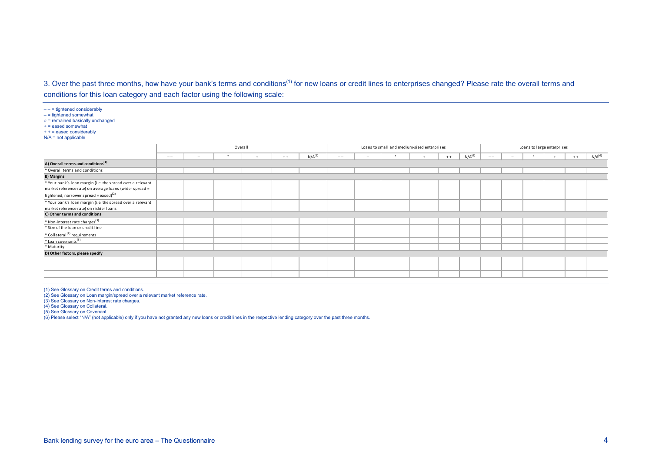## 3. Over the past three months, how have your bank's terms and conditions<sup>(1)</sup> for new loans or credit lines to enterprises changed? Please rate the overall terms and conditions for this loan category and each factor using the following scale:

| $--$ = tightened considerably<br>$-$ = tightened somewhat<br>$\circ$ = remained basically unchanged<br>$+$ = eased somewhat<br>$++ = eased$ considerably<br>$N/A$ = not applicable |       |                          |         |       |             |       |  |                                             |       |                    |       |  |                            |       |                    |
|------------------------------------------------------------------------------------------------------------------------------------------------------------------------------------|-------|--------------------------|---------|-------|-------------|-------|--|---------------------------------------------|-------|--------------------|-------|--|----------------------------|-------|--------------------|
|                                                                                                                                                                                    |       |                          | Overall |       |             |       |  | Loans to small and medium-sized enterprises |       |                    |       |  | Loans to large enterprises |       |                    |
|                                                                                                                                                                                    | $- -$ | $\overline{\phantom{a}}$ |         | $+ +$ | $N/A^{(6)}$ | $- -$ |  |                                             | $+ +$ | N/A <sup>(6)</sup> | $- -$ |  |                            | $+ +$ | N/A <sup>(6)</sup> |
| A) Overall terms and conditions <sup>(1)</sup>                                                                                                                                     |       |                          |         |       |             |       |  |                                             |       |                    |       |  |                            |       |                    |
| * Overall terms and conditions                                                                                                                                                     |       |                          |         |       |             |       |  |                                             |       |                    |       |  |                            |       |                    |
| <b>B) Margins</b>                                                                                                                                                                  |       |                          |         |       |             |       |  |                                             |       |                    |       |  |                            |       |                    |
| * Your bank's loan margin (i.e. the spread over a relevant<br>market reference rate) on average loans (wider spread =<br>tightened, narrower spread = eased) $(2)$                 |       |                          |         |       |             |       |  |                                             |       |                    |       |  |                            |       |                    |
| * Your bank's loan margin (i.e. the spread over a relevant<br>market reference rate) on riskier loans                                                                              |       |                          |         |       |             |       |  |                                             |       |                    |       |  |                            |       |                    |
| C) Other terms and conditions                                                                                                                                                      |       |                          |         |       |             |       |  |                                             |       |                    |       |  |                            |       |                    |
| * Non-interest rate charges <sup>(3)</sup><br>* Size of the loan or credit line                                                                                                    |       |                          |         |       |             |       |  |                                             |       |                    |       |  |                            |       |                    |
| * Collateral <sup>(4)</sup> requirements                                                                                                                                           |       |                          |         |       |             |       |  |                                             |       |                    |       |  |                            |       |                    |
| $*$ Loan covenants <sup>(5)</sup>                                                                                                                                                  |       |                          |         |       |             |       |  |                                             |       |                    |       |  |                            |       |                    |
| * Maturity                                                                                                                                                                         |       |                          |         |       |             |       |  |                                             |       |                    |       |  |                            |       |                    |
| D) Other factors, please specify                                                                                                                                                   |       |                          |         |       |             |       |  |                                             |       |                    |       |  |                            |       |                    |
|                                                                                                                                                                                    |       |                          |         |       |             |       |  |                                             |       |                    |       |  |                            |       |                    |
|                                                                                                                                                                                    |       |                          |         |       |             |       |  |                                             |       |                    |       |  |                            |       |                    |
|                                                                                                                                                                                    |       |                          |         |       |             |       |  |                                             |       |                    |       |  |                            |       |                    |

(1) See Glossary on Credit terms and conditions.

(2) See Glossary on Loan margin/spread over a relevant market reference rate.

(3) See Glossary on Non-interest rate charges.

(4) See Glossary on Collateral.

(5) See Glossary on Covenant.

(6) Please select "N/A" (not applicable) only if you have not granted any new loans or credit lines in the respective lending category over the past three months.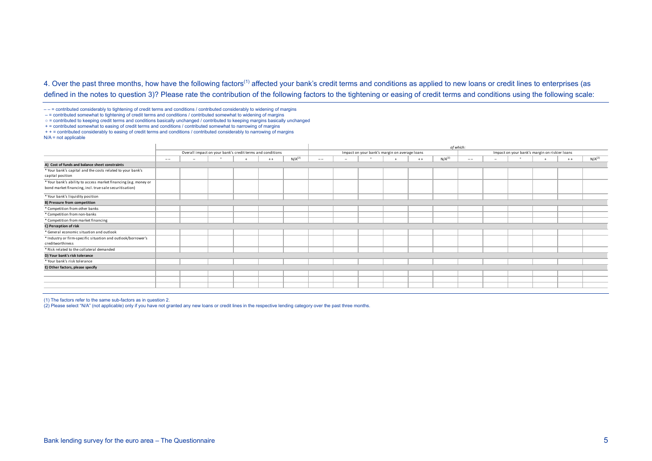4. Over the past three months, how have the following factors<sup>(1)</sup> affected your bank's credit terms and conditions as applied to new loans or credit lines to enterprises (as defined in the notes to question 3)? Please rate the contribution of the following factors to the tightening or easing of credit terms and conditions using the following scale:

– – = contributed considerably to tightening of credit terms and conditions / contributed considerably to widening of margins

– = contributed somewhat to tightening of credit terms and conditions / contributed somewhat to widening of margins

○ = contributed to keeping credit terms and conditions basically unchanged / contributed to keeping margins basically unchanged

+ = contributed somewhat to easing of credit terms and conditions / contributed somewhat to narrowing of margins

+ + = contributed considerably to easing of credit terms and conditions / contributed considerably to narrowing of margins

 $N/A$  = not applicable

|                                                                 |       |                                                           |           |       |             | of which: |                          |                                               |  |       |                    |       |                          |                                               |  |       |                    |
|-----------------------------------------------------------------|-------|-----------------------------------------------------------|-----------|-------|-------------|-----------|--------------------------|-----------------------------------------------|--|-------|--------------------|-------|--------------------------|-----------------------------------------------|--|-------|--------------------|
|                                                                 |       | Overall impact on your bank's credit terms and conditions |           |       |             |           |                          | Impact on your bank's margin on average loans |  |       |                    |       |                          | Impact on your bank's margin on riskier loans |  |       |                    |
|                                                                 | $- -$ |                                                           | $\bullet$ | $+ +$ | $N/A^{(2)}$ | $- -$     | $\overline{\phantom{a}}$ | $\bullet$                                     |  | $+ +$ | N/A <sup>(2)</sup> | $- -$ | $\overline{\phantom{0}}$ | $\circ$                                       |  | $+ +$ | N/A <sup>(2)</sup> |
| A) Cost of funds and balance sheet constraints                  |       |                                                           |           |       |             |           |                          |                                               |  |       |                    |       |                          |                                               |  |       |                    |
| * Your bank's capital and the costs related to your bank's      |       |                                                           |           |       |             |           |                          |                                               |  |       |                    |       |                          |                                               |  |       |                    |
| capital position                                                |       |                                                           |           |       |             |           |                          |                                               |  |       |                    |       |                          |                                               |  |       |                    |
| * Your bank's ability to access market financing (e.g. money or |       |                                                           |           |       |             |           |                          |                                               |  |       |                    |       |                          |                                               |  |       |                    |
| bond market financing, incl. true-sale securitisation)          |       |                                                           |           |       |             |           |                          |                                               |  |       |                    |       |                          |                                               |  |       |                    |
| * Your bank's liquidity position                                |       |                                                           |           |       |             |           |                          |                                               |  |       |                    |       |                          |                                               |  |       |                    |
| <b>B) Pressure from competition</b>                             |       |                                                           |           |       |             |           |                          |                                               |  |       |                    |       |                          |                                               |  |       |                    |
| * Competition from other banks                                  |       |                                                           |           |       |             |           |                          |                                               |  |       |                    |       |                          |                                               |  |       |                    |
| * Competition from non-banks                                    |       |                                                           |           |       |             |           |                          |                                               |  |       |                    |       |                          |                                               |  |       |                    |
| * Competition from market financing                             |       |                                                           |           |       |             |           |                          |                                               |  |       |                    |       |                          |                                               |  |       |                    |
| C) Perception of risk                                           |       |                                                           |           |       |             |           |                          |                                               |  |       |                    |       |                          |                                               |  |       |                    |
| * General economic situation and outlook                        |       |                                                           |           |       |             |           |                          |                                               |  |       |                    |       |                          |                                               |  |       |                    |
| * Industry or firm-specific situation and outlook/borrower's    |       |                                                           |           |       |             |           |                          |                                               |  |       |                    |       |                          |                                               |  |       |                    |
| creditworthiness                                                |       |                                                           |           |       |             |           |                          |                                               |  |       |                    |       |                          |                                               |  |       |                    |
| * Risk related to the collateral demanded                       |       |                                                           |           |       |             |           |                          |                                               |  |       |                    |       |                          |                                               |  |       |                    |
| D) Your bank's risk tolerance                                   |       |                                                           |           |       |             |           |                          |                                               |  |       |                    |       |                          |                                               |  |       |                    |
| * Your bank's risk tolerance                                    |       |                                                           |           |       |             |           |                          |                                               |  |       |                    |       |                          |                                               |  |       |                    |
| E) Other factors, please specify                                |       |                                                           |           |       |             |           |                          |                                               |  |       |                    |       |                          |                                               |  |       |                    |
|                                                                 |       |                                                           |           |       |             |           |                          |                                               |  |       |                    |       |                          |                                               |  |       |                    |
|                                                                 |       |                                                           |           |       |             |           |                          |                                               |  |       |                    |       |                          |                                               |  |       |                    |
|                                                                 |       |                                                           |           |       |             |           |                          |                                               |  |       |                    |       |                          |                                               |  |       |                    |
|                                                                 |       |                                                           |           |       |             |           |                          |                                               |  |       |                    |       |                          |                                               |  |       |                    |

(1) The factors refer to the same sub-factors as in question 2.

(2) Please select "N/A" (not applicable) only if you have not granted any new loans or credit lines in the respective lending category over the past three months.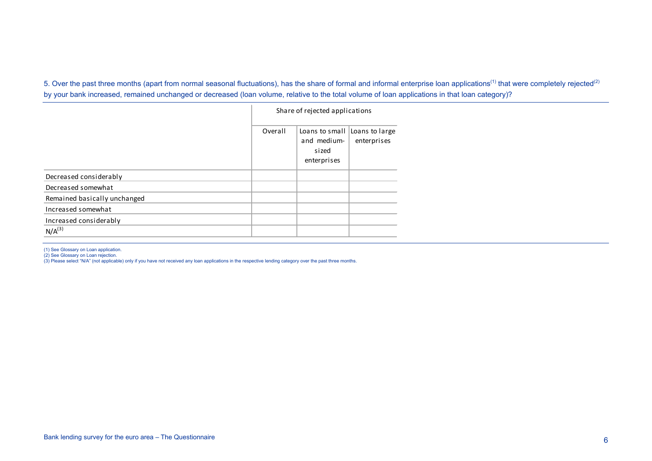5. Over the past three months (apart from normal seasonal fluctuations), has the share of formal and informal enterprise loan applications<sup>(1)</sup> that were completely rejected<sup>(2)</sup> by your bank increased, remained unchanged or decreased (loan volume, relative to the total volume of loan applications in that loan category)?

|                              |         | Share of rejected applications                        |                               |
|------------------------------|---------|-------------------------------------------------------|-------------------------------|
|                              | Overall | Loans to small<br>and medium-<br>sized<br>enterprises | Loans to large<br>enterprises |
| Decreased considerably       |         |                                                       |                               |
| Decreased somewhat           |         |                                                       |                               |
| Remained basically unchanged |         |                                                       |                               |
| Increased somewhat           |         |                                                       |                               |
| Increased considerably       |         |                                                       |                               |
| $N/A^{(3)}$                  |         |                                                       |                               |

<sup>(1)</sup> See Glossary on Loan application.

(2) See Glossary on Loan rejection.<br>(3) Please select "N/A" (not applicable) only if you have not received any loan applications in the respective lending category over the past three months.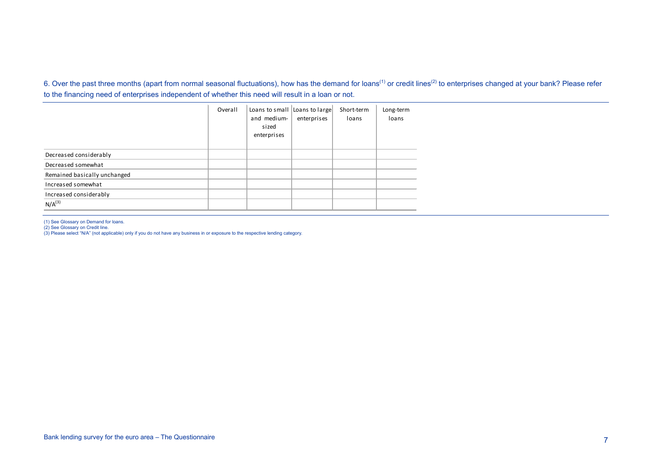6. Over the past three months (apart from normal seasonal fluctuations), how has the demand for loans<sup>(1)</sup> or credit lines<sup>(2)</sup> to enterprises changed at your bank? Please refer to the financing need of enterprises independent of whether this need will result in a loan or not.

|                              | Overall | Loans to small Loans to large<br>and medium-<br>sized<br>enterprises | enterprises | Short-term<br>loans | Long-term<br>loans |
|------------------------------|---------|----------------------------------------------------------------------|-------------|---------------------|--------------------|
| Decreased considerably       |         |                                                                      |             |                     |                    |
| Decreased somewhat           |         |                                                                      |             |                     |                    |
| Remained basically unchanged |         |                                                                      |             |                     |                    |
| Increased somewhat           |         |                                                                      |             |                     |                    |
| Increased considerably       |         |                                                                      |             |                     |                    |
| N/A <sup>(3)</sup>           |         |                                                                      |             |                     |                    |

(1) See Glossary on Demand for loans.

(2) See Glossary on Credit line. (3) Please select "N/A" (not applicable) only if you do not have any business in or exposure to the respective lending category.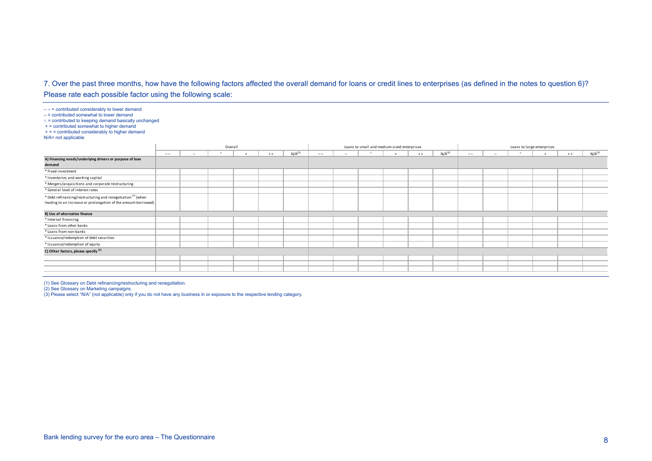## 7. Over the past three months, how have the following factors affected the overall demand for loans or credit lines to enterprises (as defined in the notes to question 6)?

Please rate each possible factor using the following scale:

 $---$  = contributed considerably to lower demand

 $-$  = contributed somewhat to lower demand

○ = contributed to keeping demand basically unchanged

+ = contributed somewhat to higher demand + + = contributed considerably to higher demand

N/A= not applicable

|                                                                                                                                           |       | Overall                  |  |  |       |                    | Loans to small and medium-sized enterprises |                          |         |  |       |                    | Loans to large enterprises |                          |        |  |       |                    |
|-------------------------------------------------------------------------------------------------------------------------------------------|-------|--------------------------|--|--|-------|--------------------|---------------------------------------------|--------------------------|---------|--|-------|--------------------|----------------------------|--------------------------|--------|--|-------|--------------------|
|                                                                                                                                           | $- -$ | $\overline{\phantom{0}}$ |  |  | $+ +$ | N/A <sup>(3)</sup> | $- -$                                       | $\overline{\phantom{0}}$ | $\circ$ |  | $+ +$ | N/A <sup>(3)</sup> | $- -$                      | $\overline{\phantom{0}}$ | $\sim$ |  | $+ +$ | N/A <sup>(3)</sup> |
| A) Financing needs/underlying drivers or purpose of loan<br>demand                                                                        |       |                          |  |  |       |                    |                                             |                          |         |  |       |                    |                            |                          |        |  |       |                    |
| * Fixed investment                                                                                                                        |       |                          |  |  |       |                    |                                             |                          |         |  |       |                    |                            |                          |        |  |       |                    |
| * Inventories and working capital                                                                                                         |       |                          |  |  |       |                    |                                             |                          |         |  |       |                    |                            |                          |        |  |       |                    |
| * Mergers/acquisitions and corporate restructuring                                                                                        |       |                          |  |  |       |                    |                                             |                          |         |  |       |                    |                            |                          |        |  |       |                    |
| * General level of interest rates                                                                                                         |       |                          |  |  |       |                    |                                             |                          |         |  |       |                    |                            |                          |        |  |       |                    |
| * Debt refinancing/restructuring and renegotiation <sup>(1)</sup> (when<br>leading to an increase or prolongation of the amount borrowed) |       |                          |  |  |       |                    |                                             |                          |         |  |       |                    |                            |                          |        |  |       |                    |
| B) Use of alternative finance                                                                                                             |       |                          |  |  |       |                    |                                             |                          |         |  |       |                    |                            |                          |        |  |       |                    |
| * Internal financing                                                                                                                      |       |                          |  |  |       |                    |                                             |                          |         |  |       |                    |                            |                          |        |  |       |                    |
| * Loans from other banks                                                                                                                  |       |                          |  |  |       |                    |                                             |                          |         |  |       |                    |                            |                          |        |  |       |                    |
| * Loans from non-banks                                                                                                                    |       |                          |  |  |       |                    |                                             |                          |         |  |       |                    |                            |                          |        |  |       |                    |
| * Issuance/redemption of debt securities                                                                                                  |       |                          |  |  |       |                    |                                             |                          |         |  |       |                    |                            |                          |        |  |       |                    |
| * Issuance/redemption of equity                                                                                                           |       |                          |  |  |       |                    |                                             |                          |         |  |       |                    |                            |                          |        |  |       |                    |
| C) Other factors, please specify <sup>(2)</sup>                                                                                           |       |                          |  |  |       |                    |                                             |                          |         |  |       |                    |                            |                          |        |  |       |                    |
|                                                                                                                                           |       |                          |  |  |       |                    |                                             |                          |         |  |       |                    |                            |                          |        |  |       |                    |
|                                                                                                                                           |       |                          |  |  |       |                    |                                             |                          |         |  |       |                    |                            |                          |        |  |       |                    |
|                                                                                                                                           |       |                          |  |  |       |                    |                                             |                          |         |  |       |                    |                            |                          |        |  |       |                    |

(1) See Glossary on Debt refinancing/restructuring and renegotiation. (2) See Glossary on Marketing campaigns.

(3) Please select "N/A" (not applicable) only if you do not have any business in or exposure to the respective lending category.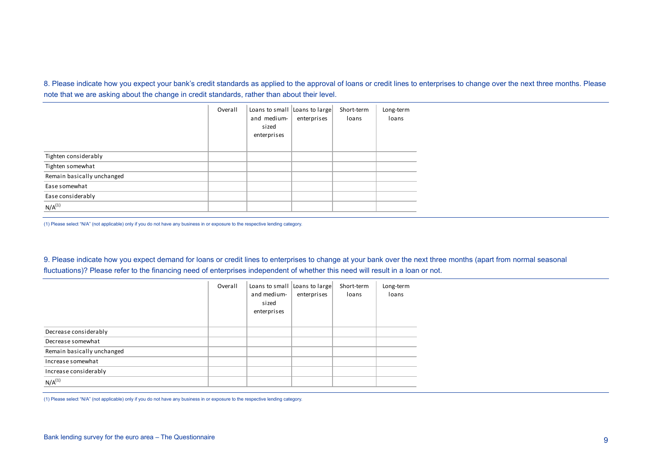8. Please indicate how you expect your bank's credit standards as applied to the approval of loans or credit lines to enterprises to change over the next three months. Please note that we are asking about the change in credit standards, rather than about their level.

|                            | Overall | Loans to small Loans to large<br>and medium-<br>sized<br>enterprises | enterprises | Short-term<br>loans | Long-term<br>loans |
|----------------------------|---------|----------------------------------------------------------------------|-------------|---------------------|--------------------|
| Tighten considerably       |         |                                                                      |             |                     |                    |
| Tighten somewhat           |         |                                                                      |             |                     |                    |
| Remain basically unchanged |         |                                                                      |             |                     |                    |
| Ease somewhat              |         |                                                                      |             |                     |                    |
| Ease considerably          |         |                                                                      |             |                     |                    |
| $N/A^{(1)}$                |         |                                                                      |             |                     |                    |

(1) Please select "N/A" (not applicable) only if you do not have any business in or exposure to the respective lending category.

9. Please indicate how you expect demand for loans or credit lines to enterprises to change at your bank over the next three months (apart from normal seasonal fluctuations)? Please refer to the financing need of enterprises independent of whether this need will result in a loan or not.

|                            | Overall | Loans to small Loans to large<br>and medium-<br>sized<br>enterprises | enterprises | Short-term<br>loans | Long-term<br>loans |
|----------------------------|---------|----------------------------------------------------------------------|-------------|---------------------|--------------------|
| Decrease considerably      |         |                                                                      |             |                     |                    |
| Decrease somewhat          |         |                                                                      |             |                     |                    |
| Remain basically unchanged |         |                                                                      |             |                     |                    |
| Increase somewhat          |         |                                                                      |             |                     |                    |
| Increase considerably      |         |                                                                      |             |                     |                    |
| $N/A^{(1)}$                |         |                                                                      |             |                     |                    |

(1) Please select "N/A" (not applicable) only if you do not have any business in or exposure to the respective lending category.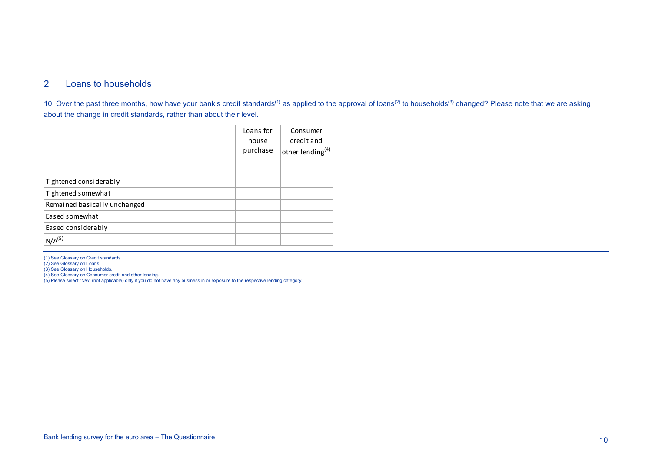## 2 Loans to households

10. Over the past three months, how have your bank's credit standards<sup>(1)</sup> as applied to the approval of loans<sup>(2)</sup> to households<sup>(3)</sup> changed? Please note that we are asking about the change in credit standards, rather than about their level.

|                              | Loans for<br>house<br>purchase | Consumer<br>credit and<br>other lending <sup>(4)</sup> |
|------------------------------|--------------------------------|--------------------------------------------------------|
| Tightened considerably       |                                |                                                        |
| Tightened somewhat           |                                |                                                        |
| Remained basically unchanged |                                |                                                        |
| Eased somewhat               |                                |                                                        |
| Eased considerably           |                                |                                                        |
| $N/A^{(5)}$                  |                                |                                                        |

(1) See Glossary on Credit standards.

(2) See Glossary on Loans.

(3) See Glossary on Households.

(4) See Glossary on Consumer credit and other lending.

(5) Please select "N/A" (not applicable) only if you do not have any business in or exposure to the respective lending category.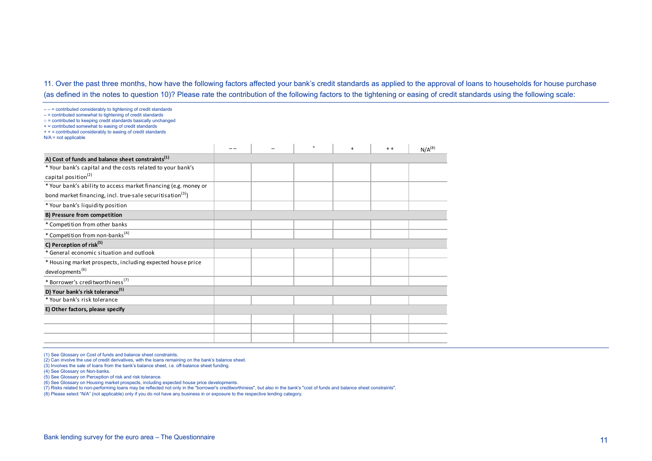11. Over the past three months, how have the following factors affected your bank's credit standards as applied to the approval of loans to households for house purchase (as defined in the notes to question 10)? Please rate the contribution of the following factors to the tightening or easing of credit standards using the following scale:

– – = contributed considerably to tightening of credit standards – = contributed somewhat to tightening of credit standards ○ = contributed to keeping credit standards basically unchanged  $+$  = contributed somewhat to easing of credit standards + + = contributed considerably to easing of credit standards  $N/A$  = not applicable – – – ° + + + N/A(8) **A) Cost of funds and balance sheet constraints(1)** \* Your bank's capital and the costs related to your bank's capital position $(2)$ \* Your bank's ability to access market financing (e.g. money or bond market financing, incl. true-sale securitisation $(3)$ ) \* Your bank's liquidity position **B) Pressure from competition** \* Competition from other banks \* Competition from non-banks(4) **C) Perception of risk(5)** \* General economic situation and outlook \* Housing market prospects, including expected house price developments(6) \* Borrower's creditworthiness(7) **D) Your bank's risk tolerance(5)** \* Your bank's risk tolerance **E) Other factors, please specify**

(1) See Glossary on Cost of funds and balance sheet constraints.

(2) Can involve the use of credit derivatives, with the loans remaining on the bank's balance sheet.

(3) Involves the sale of loans from the bank's balance sheet, i.e. off-balance sheet funding.

(4) See Glossary on Non-banks.

(6) See Glossary on Housing market prospects, including expected house price developments.

(7) Risks related to non-performing loans may be reflected not only in the "borrower's creditworthiness", but also in the bank's "cost of funds and balance sheet constraints".

(8) Please select "N/A" (not applicable) only if you do not have any business in or exposure to the respective lending category.

<sup>(5)</sup> See Glossary on Perception of risk and risk tolerance.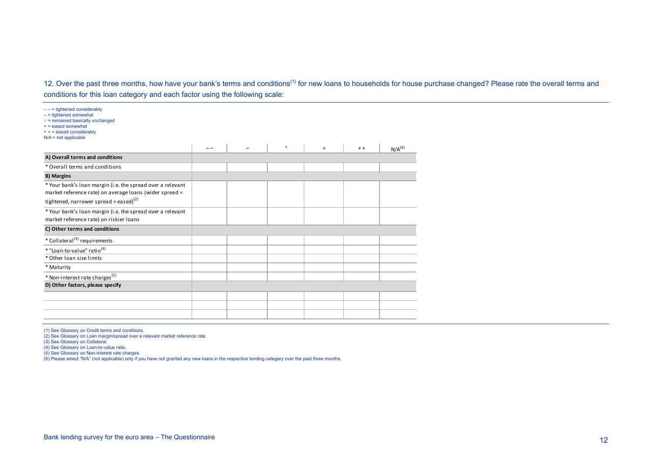12. Over the past three months, how have your bank's terms and conditions<sup>(1)</sup> for new loans to households for house purchase changed? Please rate the overall terms and conditions for this loan category and each factor using the following scale:

| $---$ = tightened considerably<br>$-$ = tightened somewhat<br>$\circ$ = remained basically unchanged<br>$+$ = eased somewhat<br>$++ = eased$ considerably<br>$N/A$ = not applicable |  |         |     |       |             |
|-------------------------------------------------------------------------------------------------------------------------------------------------------------------------------------|--|---------|-----|-------|-------------|
|                                                                                                                                                                                     |  | $\circ$ | $+$ | $+ +$ | $N/A^{(6)}$ |
| A) Overall terms and conditions                                                                                                                                                     |  |         |     |       |             |
| * Overall terms and conditions                                                                                                                                                      |  |         |     |       |             |
| <b>B) Margins</b>                                                                                                                                                                   |  |         |     |       |             |
| * Your bank's loan margin (i.e. the spread over a relevant<br>market reference rate) on average loans (wider spread =<br>tightened, narrower spread = eased) $^{(2)}$               |  |         |     |       |             |
|                                                                                                                                                                                     |  |         |     |       |             |
| * Your bank's loan margin (i.e. the spread over a relevant<br>market reference rate) on riskier loans                                                                               |  |         |     |       |             |
| C) Other terms and conditions                                                                                                                                                       |  |         |     |       |             |
| * Collateral <sup>(3)</sup> requirements                                                                                                                                            |  |         |     |       |             |
| * "Loan-to-value" ratio <sup>(4)</sup>                                                                                                                                              |  |         |     |       |             |
| * Other loan size limits                                                                                                                                                            |  |         |     |       |             |
| * Maturity                                                                                                                                                                          |  |         |     |       |             |
| * Non-interest rate charges <sup>(5)</sup>                                                                                                                                          |  |         |     |       |             |
| D) Other factors, please specify                                                                                                                                                    |  |         |     |       |             |
|                                                                                                                                                                                     |  |         |     |       |             |
|                                                                                                                                                                                     |  |         |     |       |             |
|                                                                                                                                                                                     |  |         |     |       |             |

(1) See Glossary on Credit terms and conditions. (2) See Glossary on Loan margin/spread over a relevant market reference rate.

(3) See Glossary on Collateral.

(4) See Glossary on Loan-to-value ratio.

(5) See Glossary on Non-interest rate charges.

(6) Please select "N/A" (not applicable) only if you have not granted any new loans in the respective lending category over the past three months.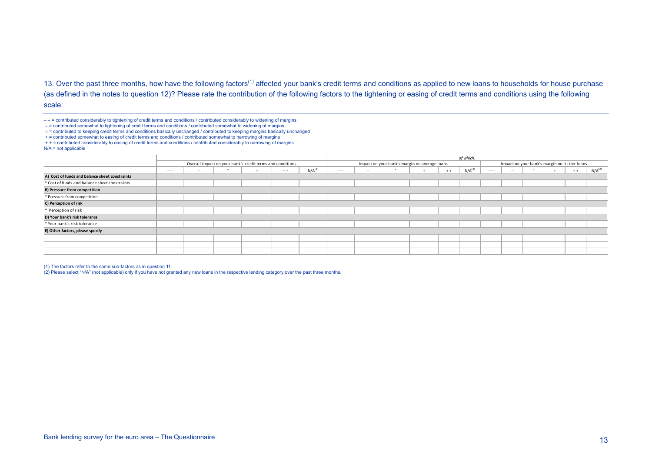13. Over the past three months, how have the following factors<sup>(1)</sup> affected your bank's credit terms and conditions as applied to new loans to households for house purchase (as defined in the notes to question 12)? Please rate the contribution of the following factors to the tightening or easing of credit terms and conditions using the following scale:

 $---$  = contributed considerably to tightening of credit terms and conditions / contributed considerably to widening of margins

– = contributed somewhat to tightening of credit terms and conditions / contributed somewhat to widening of margins

- = contributed to keeping credit terms and conditions basically unchanged / contributed to keeping margins basically unchanged
- + = contributed somewhat to easing of credit terms and conditions / contributed somewhat to narrowing of margins

+ + = contributed considerably to easing of credit terms and conditions / contributed considerably to narrowing of margins  $N/A$  = not applicable

| $- -$ | $\overline{\phantom{a}}$ |  | $+ +$ | N/A <sup>(2)</sup> | $\qquad \qquad -$                                         | $\overline{\phantom{a}}$ |  | $++$ | N/A <sup>(2)</sup>                            | $- -$     | $\sim$ |  | $++$ | $N/A^{(2)}$                                   |
|-------|--------------------------|--|-------|--------------------|-----------------------------------------------------------|--------------------------|--|------|-----------------------------------------------|-----------|--------|--|------|-----------------------------------------------|
|       |                          |  |       |                    |                                                           |                          |  |      |                                               |           |        |  |      |                                               |
|       |                          |  |       |                    |                                                           |                          |  |      |                                               |           |        |  |      |                                               |
|       |                          |  |       |                    |                                                           |                          |  |      |                                               |           |        |  |      |                                               |
|       |                          |  |       |                    |                                                           |                          |  |      |                                               |           |        |  |      |                                               |
|       |                          |  |       |                    |                                                           |                          |  |      |                                               |           |        |  |      |                                               |
|       |                          |  |       |                    |                                                           |                          |  |      |                                               |           |        |  |      |                                               |
|       |                          |  |       |                    |                                                           |                          |  |      |                                               |           |        |  |      |                                               |
|       |                          |  |       |                    |                                                           |                          |  |      |                                               |           |        |  |      |                                               |
|       |                          |  |       |                    |                                                           |                          |  |      |                                               |           |        |  |      |                                               |
|       |                          |  |       |                    |                                                           |                          |  |      |                                               |           |        |  |      |                                               |
|       |                          |  |       |                    |                                                           |                          |  |      |                                               |           |        |  |      |                                               |
|       |                          |  |       |                    |                                                           |                          |  |      |                                               |           |        |  |      |                                               |
|       |                          |  |       |                    | Overall impact on your bank's credit terms and conditions |                          |  |      | Impact on your bank's margin on average loans | of which: |        |  |      | Impact on your bank's margin on riskier loans |

(1) The factors refer to the same sub-factors as in question 11.

(2) Please select "N/A" (not applicable) only if you have not granted any new loans in the respective lending category over the past three months.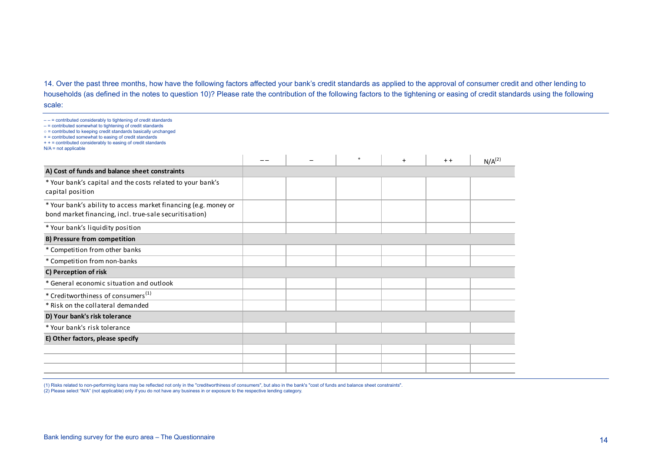14. Over the past three months, how have the following factors affected your bank's credit standards as applied to the approval of consumer credit and other lending to households (as defined in the notes to question 10)? Please rate the contribution of the following factors to the tightening or easing of credit standards using the following scale:

| $---$ = contributed considerably to tightening of credit standards<br>$-$ = contributed somewhat to tightening of credit standards<br>$\circ$ = contributed to keeping credit standards basically unchanged<br>+ = contributed somewhat to easing of credit standards<br>+ + = contributed considerably to easing of credit standards<br>$N/A$ = not applicable |  |           |     |       |             |
|-----------------------------------------------------------------------------------------------------------------------------------------------------------------------------------------------------------------------------------------------------------------------------------------------------------------------------------------------------------------|--|-----------|-----|-------|-------------|
|                                                                                                                                                                                                                                                                                                                                                                 |  | $\bullet$ | $+$ | $+ +$ | $N/A^{(2)}$ |
| A) Cost of funds and balance sheet constraints                                                                                                                                                                                                                                                                                                                  |  |           |     |       |             |
| * Your bank's capital and the costs related to your bank's<br>capital position                                                                                                                                                                                                                                                                                  |  |           |     |       |             |
| * Your bank's ability to access market financing (e.g. money or<br>bond market financing, incl. true-sale securitisation)                                                                                                                                                                                                                                       |  |           |     |       |             |
| * Your bank's liquidity position                                                                                                                                                                                                                                                                                                                                |  |           |     |       |             |
| <b>B) Pressure from competition</b>                                                                                                                                                                                                                                                                                                                             |  |           |     |       |             |
| * Competition from other banks                                                                                                                                                                                                                                                                                                                                  |  |           |     |       |             |
| * Competition from non-banks                                                                                                                                                                                                                                                                                                                                    |  |           |     |       |             |
| C) Perception of risk                                                                                                                                                                                                                                                                                                                                           |  |           |     |       |             |
| * General economic situation and outlook                                                                                                                                                                                                                                                                                                                        |  |           |     |       |             |
| * Creditworthiness of consumers <sup>(1)</sup>                                                                                                                                                                                                                                                                                                                  |  |           |     |       |             |
| * Risk on the collateral demanded                                                                                                                                                                                                                                                                                                                               |  |           |     |       |             |
| D) Your bank's risk tolerance                                                                                                                                                                                                                                                                                                                                   |  |           |     |       |             |
| * Your bank's risk tolerance                                                                                                                                                                                                                                                                                                                                    |  |           |     |       |             |
| E) Other factors, please specify                                                                                                                                                                                                                                                                                                                                |  |           |     |       |             |
|                                                                                                                                                                                                                                                                                                                                                                 |  |           |     |       |             |
|                                                                                                                                                                                                                                                                                                                                                                 |  |           |     |       |             |
|                                                                                                                                                                                                                                                                                                                                                                 |  |           |     |       |             |

(1) Risks related to non-performing loans may be reflected not only in the "creditworthiness of consumers", but also in the bank's "cost of funds and balance sheet constraints".<br>(2) Please select "N/A" (not applicable) onl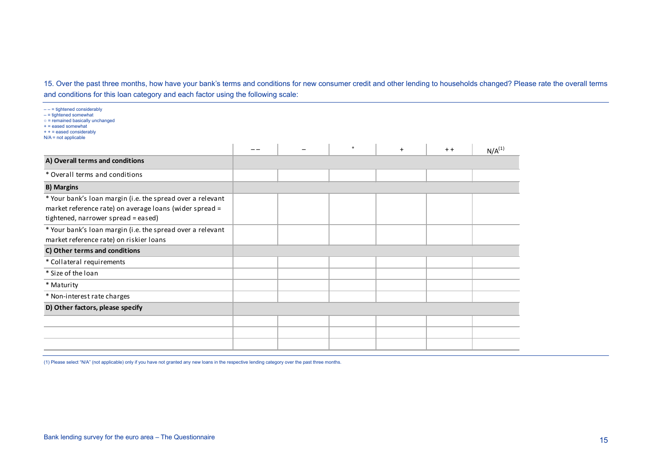15. Over the past three months, how have your bank's terms and conditions for new consumer credit and other lending to households changed? Please rate the overall terms and conditions for this loan category and each factor using the following scale:

| $--$ = tightened considerably<br>$-$ = tightened somewhat<br>$\circ$ = remained basically unchanged<br>$+$ = eased somewhat<br>$++ = eased$ considerably<br>$N/A$ = not applicable |  |           |     |       |             |
|------------------------------------------------------------------------------------------------------------------------------------------------------------------------------------|--|-----------|-----|-------|-------------|
|                                                                                                                                                                                    |  | $\bullet$ | $+$ | $+ +$ | $N/A^{(1)}$ |
| A) Overall terms and conditions                                                                                                                                                    |  |           |     |       |             |
| * Overall terms and conditions                                                                                                                                                     |  |           |     |       |             |
| <b>B) Margins</b>                                                                                                                                                                  |  |           |     |       |             |
| * Your bank's loan margin (i.e. the spread over a relevant<br>market reference rate) on average loans (wider spread =<br>tightened, narrower spread = eased)                       |  |           |     |       |             |
| * Your bank's loan margin (i.e. the spread over a relevant<br>market reference rate) on riskier loans                                                                              |  |           |     |       |             |
| C) Other terms and conditions                                                                                                                                                      |  |           |     |       |             |
| * Collateral requirements                                                                                                                                                          |  |           |     |       |             |
| * Size of the loan                                                                                                                                                                 |  |           |     |       |             |
| * Maturity                                                                                                                                                                         |  |           |     |       |             |
| * Non-interest rate charges                                                                                                                                                        |  |           |     |       |             |
| D) Other factors, please specify                                                                                                                                                   |  |           |     |       |             |
|                                                                                                                                                                                    |  |           |     |       |             |
|                                                                                                                                                                                    |  |           |     |       |             |
|                                                                                                                                                                                    |  |           |     |       |             |

(1) Please select "N/A" (not applicable) only if you have not granted any new loans in the respective lending category over the past three months.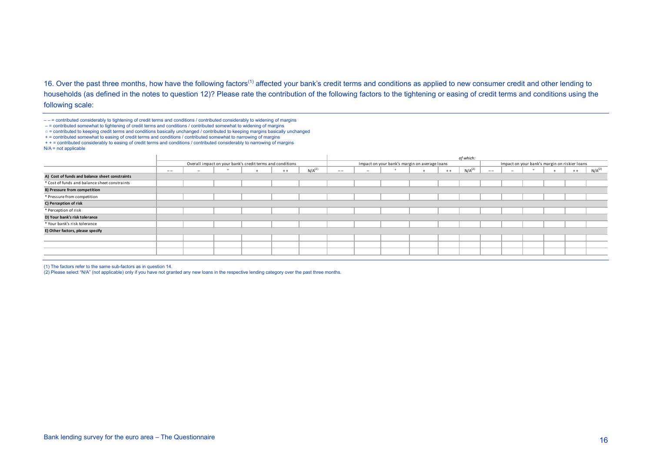16. Over the past three months, how have the following factors<sup>(1)</sup> affected your bank's credit terms and conditions as applied to new consumer credit and other lending to households (as defined in the notes to question 12)? Please rate the contribution of the following factors to the tightening or easing of credit terms and conditions using the following scale:

 $---$  = contributed considerably to tightening of credit terms and conditions / contributed considerably to widening of margins

– = contributed somewhat to tightening of credit terms and conditions / contributed somewhat to widening of margins

○ = contributed to keeping credit terms and conditions basically unchanged / contributed to keeping margins basically unchanged

+ = contributed somewhat to easing of credit terms and conditions / contributed somewhat to narrowing of margins

+ + = contributed considerably to easing of credit terms and conditions / contributed considerably to narrowing of margins  $N/A$  = not applicable

| $- -$ | $\overline{\phantom{a}}$ |  | $+ +$ | $N/A^{(2)}$                                               | $- -$ | $\overline{\phantom{a}}$ |  | $+ +$ | $N/A^{(2)}$                                   | $\qquad \qquad -$ | $\overline{\phantom{a}}$ |  | $+ +$ | $N/A^{(2)}$                                   |
|-------|--------------------------|--|-------|-----------------------------------------------------------|-------|--------------------------|--|-------|-----------------------------------------------|-------------------|--------------------------|--|-------|-----------------------------------------------|
|       |                          |  |       |                                                           |       |                          |  |       |                                               |                   |                          |  |       |                                               |
|       |                          |  |       |                                                           |       |                          |  |       |                                               |                   |                          |  |       |                                               |
|       |                          |  |       |                                                           |       |                          |  |       |                                               |                   |                          |  |       |                                               |
|       |                          |  |       |                                                           |       |                          |  |       |                                               |                   |                          |  |       |                                               |
|       |                          |  |       |                                                           |       |                          |  |       |                                               |                   |                          |  |       |                                               |
|       |                          |  |       |                                                           |       |                          |  |       |                                               |                   |                          |  |       |                                               |
|       |                          |  |       |                                                           |       |                          |  |       |                                               |                   |                          |  |       |                                               |
|       |                          |  |       |                                                           |       |                          |  |       |                                               |                   |                          |  |       |                                               |
|       |                          |  |       |                                                           |       |                          |  |       |                                               |                   |                          |  |       |                                               |
|       |                          |  |       |                                                           |       |                          |  |       |                                               |                   |                          |  |       |                                               |
|       |                          |  |       |                                                           |       |                          |  |       |                                               |                   |                          |  |       |                                               |
|       |                          |  |       |                                                           |       |                          |  |       |                                               |                   |                          |  |       |                                               |
|       |                          |  |       | Overall impact on your bank's credit terms and conditions |       |                          |  |       | Impact on your bank's margin on average loans | of which:         |                          |  |       | Impact on your bank's margin on riskier loans |

(1) The factors refer to the same sub-factors as in question 14.

(2) Please select "N/A" (not applicable) only if you have not granted any new loans in the respective lending category over the past three months.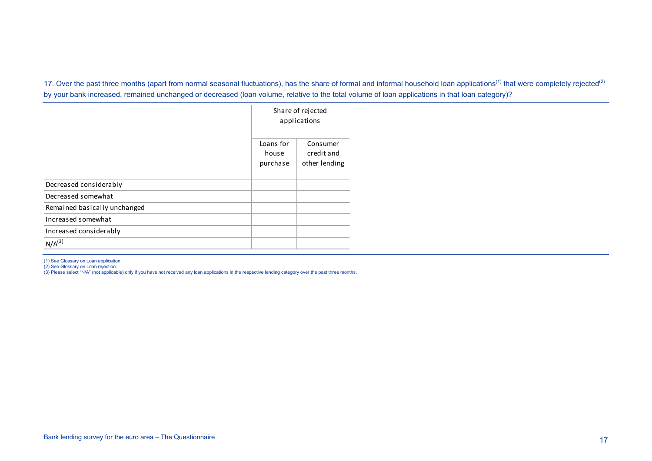17. Over the past three months (apart from normal seasonal fluctuations), has the share of formal and informal household loan applications<sup>(1)</sup> that were completely rejected<sup>(2)</sup> by your bank increased, remained unchanged or decreased (loan volume, relative to the total volume of loan applications in that loan category)?

|                              |                                | Share of rejected<br>applications       |
|------------------------------|--------------------------------|-----------------------------------------|
|                              | Loans for<br>house<br>purchase | Consumer<br>credit and<br>other lending |
| Decreased considerably       |                                |                                         |
| Decreased somewhat           |                                |                                         |
| Remained basically unchanged |                                |                                         |
| Increased somewhat           |                                |                                         |
| Increased considerably       |                                |                                         |
| $N/A^{(3)}$                  |                                |                                         |

(1) See Glossary on Loan application.<br>(2) See Glossary on Loan rejection.<br>(3) Please select "N/A" (not applicable) only if you have not received any loan applications in the respective lending category over the past three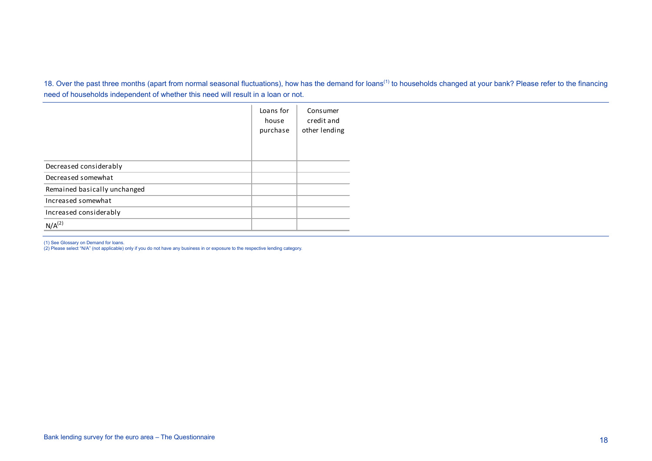18. Over the past three months (apart from normal seasonal fluctuations), how has the demand for loans<sup>(1)</sup> to households changed at your bank? Please refer to the financing need of households independent of whether this need will result in a loan or not.

|                              | Loans for<br>house<br>purchase | Consumer<br>credit and<br>other lending |
|------------------------------|--------------------------------|-----------------------------------------|
| Decreased considerably       |                                |                                         |
| Decreased somewhat           |                                |                                         |
| Remained basically unchanged |                                |                                         |
| Increased somewhat           |                                |                                         |
| Increased considerably       |                                |                                         |
| $N/A^{(2)}$                  |                                |                                         |

(1) See Glossary on Demand for loans. (2) Please select "N/A" (not applicable) only if you do not have any business in or exposure to the respective lending category.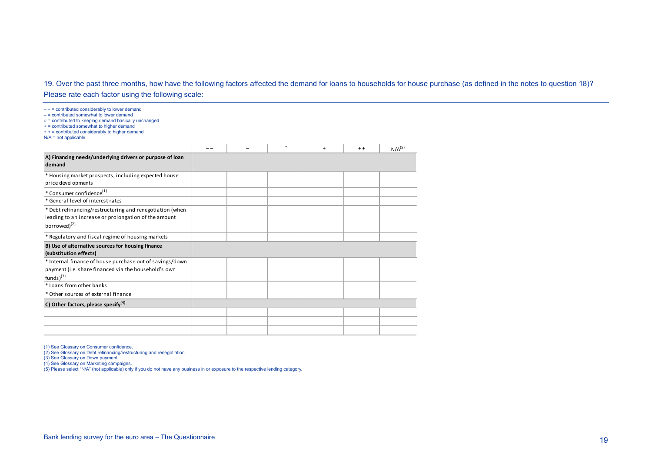## 19. Over the past three months, how have the following factors affected the demand for loans to households for house purchase (as defined in the notes to question 18)? Please rate each factor using the following scale:

| $---$ = contributed considerably to lower demand<br>$-$ = contributed somewhat to lower demand<br>o = contributed to keeping demand basically unchanged<br>+ = contributed somewhat to higher demand<br>+ + = contributed considerably to higher demand<br>$N/A$ = not applicable |  |         |     |       |                    |
|-----------------------------------------------------------------------------------------------------------------------------------------------------------------------------------------------------------------------------------------------------------------------------------|--|---------|-----|-------|--------------------|
|                                                                                                                                                                                                                                                                                   |  | $\circ$ | $+$ | $+ +$ | N/A <sup>(5)</sup> |
| A) Financing needs/underlying drivers or purpose of loan<br>demand                                                                                                                                                                                                                |  |         |     |       |                    |
| * Housing market prospects, including expected house<br>price developments                                                                                                                                                                                                        |  |         |     |       |                    |
| * Consumer confidence <sup>(1)</sup>                                                                                                                                                                                                                                              |  |         |     |       |                    |
| * General level of interest rates                                                                                                                                                                                                                                                 |  |         |     |       |                    |
| * Debt refinancing/restructuring and renegotiation (when<br>leading to an increase or prolongation of the amount<br>borrowed) <sup>(2)</sup>                                                                                                                                      |  |         |     |       |                    |
| * Regulatory and fiscal regime of housing markets                                                                                                                                                                                                                                 |  |         |     |       |                    |
| B) Use of alternative sources for housing finance<br>(substitution effects)                                                                                                                                                                                                       |  |         |     |       |                    |
| * Internal finance of house purchase out of savings/down<br>payment (i.e. share financed via the household's own<br>$funds)$ <sup>(3)</sup>                                                                                                                                       |  |         |     |       |                    |
| * Loans from other banks                                                                                                                                                                                                                                                          |  |         |     |       |                    |
| * Other sources of external finance                                                                                                                                                                                                                                               |  |         |     |       |                    |
| C) Other factors, please specify <sup>(4)</sup>                                                                                                                                                                                                                                   |  |         |     |       |                    |
|                                                                                                                                                                                                                                                                                   |  |         |     |       |                    |
|                                                                                                                                                                                                                                                                                   |  |         |     |       |                    |
|                                                                                                                                                                                                                                                                                   |  |         |     |       |                    |

(1) See Glossary on Consumer confidence. (2) See Glossary on Debt refinancing/restructuring and renegotiation.

(3) See Glossary on Down payment. (4) See Glossary on Marketing campaigns.

(5) Please select "N/A" (not applicable) only if you do not have any business in or exposure to the respective lending category.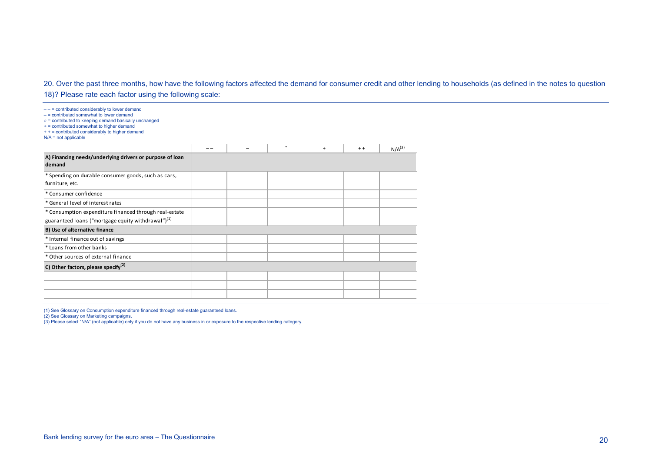#### 20. Over the past three months, how have the following factors affected the demand for consumer credit and other lending to households (as defined in the notes to question

18)? Please rate each factor using the following scale:

| $---$ = contributed considerably to lower demand<br>$=$ $=$ contributed somewhat to lower demand<br>o = contributed to keeping demand basically unchanged<br>+ = contributed somewhat to higher demand<br>+ + = contributed considerably to higher demand<br>$N/A$ = not applicable |  |           |     |       |             |
|-------------------------------------------------------------------------------------------------------------------------------------------------------------------------------------------------------------------------------------------------------------------------------------|--|-----------|-----|-------|-------------|
|                                                                                                                                                                                                                                                                                     |  | $\bullet$ | $+$ | $+ +$ | $N/A^{(3)}$ |
| A) Financing needs/underlying drivers or purpose of loan<br>demand                                                                                                                                                                                                                  |  |           |     |       |             |
| * Spending on durable consumer goods, such as cars,<br>furniture, etc.                                                                                                                                                                                                              |  |           |     |       |             |
| * Consumer confidence                                                                                                                                                                                                                                                               |  |           |     |       |             |
| * General level of interest rates                                                                                                                                                                                                                                                   |  |           |     |       |             |
| * Consumption expenditure financed through real-estate<br>guaranteed loans ("mortgage equity withdrawal") <sup>(1)</sup>                                                                                                                                                            |  |           |     |       |             |
|                                                                                                                                                                                                                                                                                     |  |           |     |       |             |
| B) Use of alternative finance                                                                                                                                                                                                                                                       |  |           |     |       |             |
| * Internal finance out of savings                                                                                                                                                                                                                                                   |  |           |     |       |             |
| * Loans from other banks                                                                                                                                                                                                                                                            |  |           |     |       |             |
| * Other sources of external finance                                                                                                                                                                                                                                                 |  |           |     |       |             |
| C) Other factors, please specify $^{(2)}$                                                                                                                                                                                                                                           |  |           |     |       |             |
|                                                                                                                                                                                                                                                                                     |  |           |     |       |             |
|                                                                                                                                                                                                                                                                                     |  |           |     |       |             |
|                                                                                                                                                                                                                                                                                     |  |           |     |       |             |

(1) See Glossary on Consumption expenditure financed through real-estate guaranteed loans.<br>(2) See Glossary on Marketing campaigns.<br>(3) Please select "N/A" (not applicable) only if you do not have any business in or exposu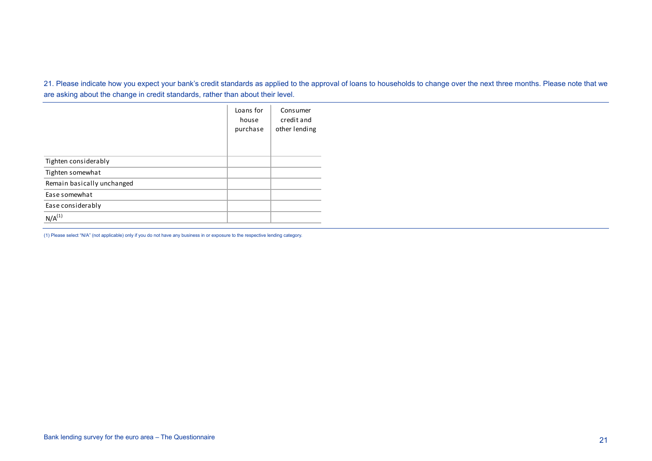21. Please indicate how you expect your bank's credit standards as applied to the approval of loans to households to change over the next three months. Please note that we are asking about the change in credit standards, rather than about their level.

|                            | Loans for<br>house<br>purchase | Consumer<br>credit and<br>other lending |
|----------------------------|--------------------------------|-----------------------------------------|
| Tighten considerably       |                                |                                         |
| Tighten somewhat           |                                |                                         |
| Remain basically unchanged |                                |                                         |
| Ease somewhat              |                                |                                         |
| Ease considerably          |                                |                                         |
| $N/A^{(1)}$                |                                |                                         |

(1) Please select "N/A" (not applicable) only if you do not have any business in or exposure to the respective lending category.